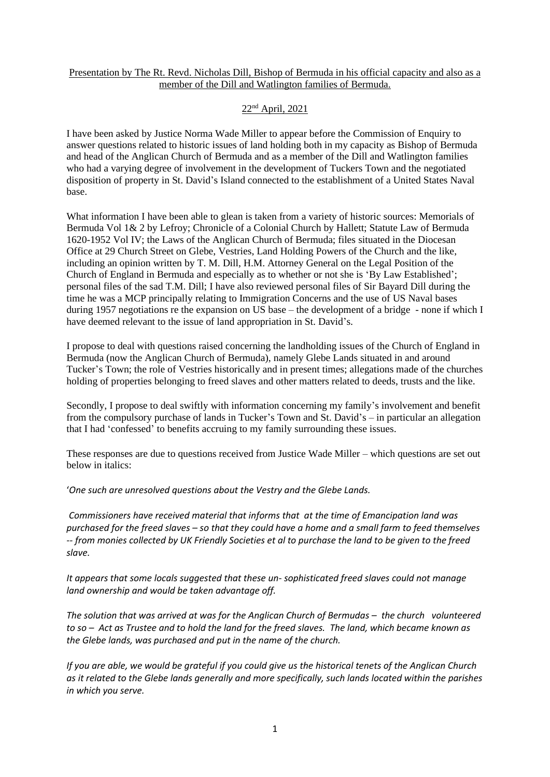## Presentation by The Rt. Revd. Nicholas Dill, Bishop of Bermuda in his official capacity and also as a member of the Dill and Watlington families of Bermuda.

# 22nd April, 2021

I have been asked by Justice Norma Wade Miller to appear before the Commission of Enquiry to answer questions related to historic issues of land holding both in my capacity as Bishop of Bermuda and head of the Anglican Church of Bermuda and as a member of the Dill and Watlington families who had a varying degree of involvement in the development of Tuckers Town and the negotiated disposition of property in St. David's Island connected to the establishment of a United States Naval base.

What information I have been able to glean is taken from a variety of historic sources: Memorials of Bermuda Vol 1& 2 by Lefroy; Chronicle of a Colonial Church by Hallett; Statute Law of Bermuda 1620-1952 Vol IV; the Laws of the Anglican Church of Bermuda; files situated in the Diocesan Office at 29 Church Street on Glebe, Vestries, Land Holding Powers of the Church and the like, including an opinion written by T. M. Dill, H.M. Attorney General on the Legal Position of the Church of England in Bermuda and especially as to whether or not she is 'By Law Established'; personal files of the sad T.M. Dill; I have also reviewed personal files of Sir Bayard Dill during the time he was a MCP principally relating to Immigration Concerns and the use of US Naval bases during 1957 negotiations re the expansion on US base – the development of a bridge - none if which I have deemed relevant to the issue of land appropriation in St. David's.

I propose to deal with questions raised concerning the landholding issues of the Church of England in Bermuda (now the Anglican Church of Bermuda), namely Glebe Lands situated in and around Tucker's Town; the role of Vestries historically and in present times; allegations made of the churches holding of properties belonging to freed slaves and other matters related to deeds, trusts and the like.

Secondly, I propose to deal swiftly with information concerning my family's involvement and benefit from the compulsory purchase of lands in Tucker's Town and St. David's – in particular an allegation that I had 'confessed' to benefits accruing to my family surrounding these issues.

These responses are due to questions received from Justice Wade Miller – which questions are set out below in italics:

'*One such are unresolved questions about the Vestry and the Glebe Lands.* 

*Commissioners have received material that informs that at the time of Emancipation land was purchased for the freed slaves – so that they could have a home and a small farm to feed themselves -- from monies collected by UK Friendly Societies et al to purchase the land to be given to the freed slave.* 

*It appears that some locals suggested that these un- sophisticated freed slaves could not manage land ownership and would be taken advantage off.*

*The solution that was arrived at was for the Anglican Church of Bermudas – the church volunteered to so – Act as Trustee and to hold the land for the freed slaves. The land, which became known as the Glebe lands, was purchased and put in the name of the church.*

*If you are able, we would be grateful if you could give us the historical tenets of the Anglican Church as it related to the Glebe lands generally and more specifically, such lands located within the parishes in which you serve.*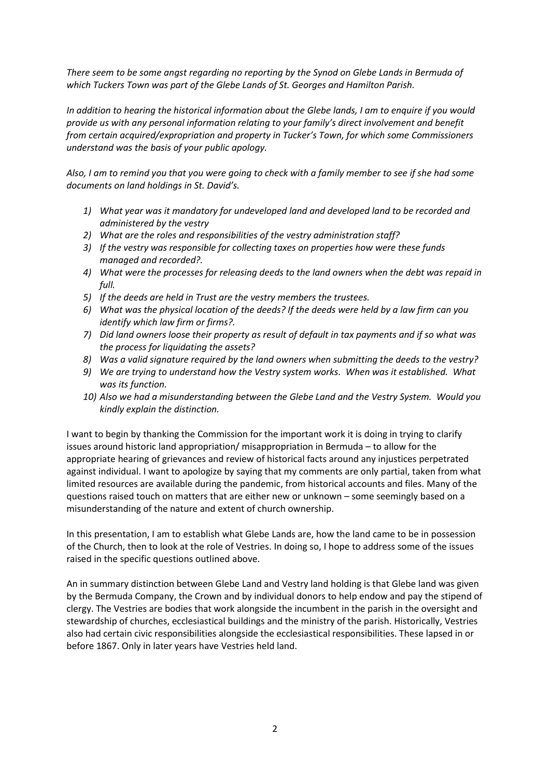*There seem to be some angst regarding no reporting by the Synod on Glebe Lands in Bermuda of which Tuckers Town was part of the Glebe Lands of St. Georges and Hamilton Parish.*

*In addition to hearing the historical information about the Glebe lands, I am to enquire if you would provide us with any personal information relating to your family's direct involvement and benefit from certain acquired/expropriation and property in Tucker's Town, for which some Commissioners understand was the basis of your public apology.*

*Also, I am to remind you that you were going to check with a family member to see if she had some documents on land holdings in St. David's.*

- *1) What year was it mandatory for undeveloped land and developed land to be recorded and administered by the vestry*
- *2) What are the roles and responsibilities of the vestry administration staff?*
- *3) If the vestry was responsible for collecting taxes on properties how were these funds managed and recorded?.*
- *4) What were the processes for releasing deeds to the land owners when the debt was repaid in full.*
- *5) If the deeds are held in Trust are the vestry members the trustees.*
- *6) What was the physical location of the deeds? If the deeds were held by a law firm can you identify which law firm or firms?.*
- *7) Did land owners loose their property as result of default in tax payments and if so what was the process for liquidating the assets?*
- *8) Was a valid signature required by the land owners when submitting the deeds to the vestry?*
- *9) We are trying to understand how the Vestry system works. When was it established. What was its function.*
- *10) Also we had a misunderstanding between the Glebe Land and the Vestry System. Would you kindly explain the distinction.*

I want to begin by thanking the Commission for the important work it is doing in trying to clarify issues around historic land appropriation/ misappropriation in Bermuda – to allow for the appropriate hearing of grievances and review of historical facts around any injustices perpetrated against individual. I want to apologize by saying that my comments are only partial, taken from what limited resources are available during the pandemic, from historical accounts and files. Many of the questions raised touch on matters that are either new or unknown – some seemingly based on a misunderstanding of the nature and extent of church ownership.

In this presentation, I am to establish what Glebe Lands are, how the land came to be in possession of the Church, then to look at the role of Vestries. In doing so, I hope to address some of the issues raised in the specific questions outlined above.

An in summary distinction between Glebe Land and Vestry land holding is that Glebe land was given by the Bermuda Company, the Crown and by individual donors to help endow and pay the stipend of clergy. The Vestries are bodies that work alongside the incumbent in the parish in the oversight and stewardship of churches, ecclesiastical buildings and the ministry of the parish. Historically, Vestries also had certain civic responsibilities alongside the ecclesiastical responsibilities. These lapsed in or before 1867. Only in later years have Vestries held land.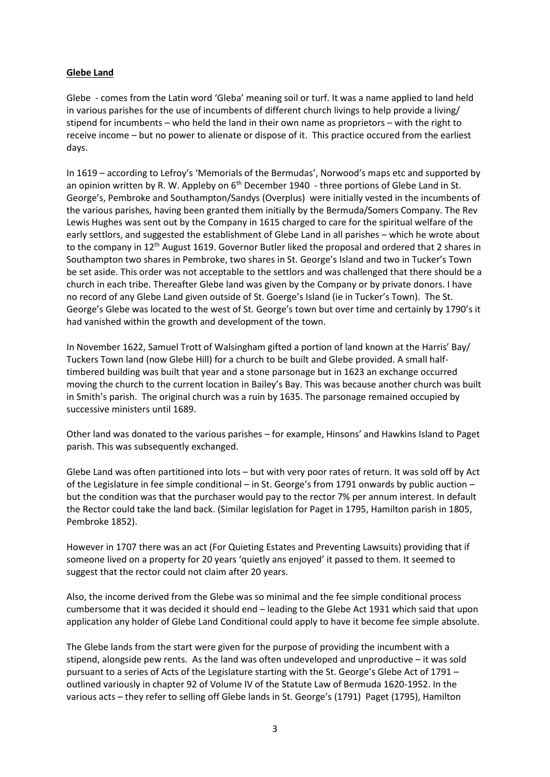# **Glebe Land**

Glebe - comes from the Latin word 'Gleba' meaning soil or turf. It was a name applied to land held in various parishes for the use of incumbents of different church livings to help provide a living/ stipend for incumbents – who held the land in their own name as proprietors – with the right to receive income – but no power to alienate or dispose of it. This practice occured from the earliest days.

In 1619 – according to Lefroy's 'Memorials of the Bermudas', Norwood's maps etc and supported by an opinion written by R. W. Appleby on  $6<sup>th</sup>$  December 1940 - three portions of Glebe Land in St. George's, Pembroke and Southampton/Sandys (Overplus) were initially vested in the incumbents of the various parishes, having been granted them initially by the Bermuda/Somers Company. The Rev Lewis Hughes was sent out by the Company in 1615 charged to care for the spiritual welfare of the early settlors, and suggested the establishment of Glebe Land in all parishes – which he wrote about to the company in 12<sup>th</sup> August 1619. Governor Butler liked the proposal and ordered that 2 shares in Southampton two shares in Pembroke, two shares in St. George's Island and two in Tucker's Town be set aside. This order was not acceptable to the settlors and was challenged that there should be a church in each tribe. Thereafter Glebe land was given by the Company or by private donors. I have no record of any Glebe Land given outside of St. Goerge's Island (ie in Tucker's Town). The St. George's Glebe was located to the west of St. George's town but over time and certainly by 1790's it had vanished within the growth and development of the town.

In November 1622, Samuel Trott of Walsingham gifted a portion of land known at the Harris' Bay/ Tuckers Town land (now Glebe Hill) for a church to be built and Glebe provided. A small halftimbered building was built that year and a stone parsonage but in 1623 an exchange occurred moving the church to the current location in Bailey's Bay. This was because another church was built in Smith's parish. The original church was a ruin by 1635. The parsonage remained occupied by successive ministers until 1689.

Other land was donated to the various parishes – for example, Hinsons' and Hawkins Island to Paget parish. This was subsequently exchanged.

Glebe Land was often partitioned into lots – but with very poor rates of return. It was sold off by Act of the Legislature in fee simple conditional – in St. George's from 1791 onwards by public auction – but the condition was that the purchaser would pay to the rector 7% per annum interest. In default the Rector could take the land back. (Similar legislation for Paget in 1795, Hamilton parish in 1805, Pembroke 1852).

However in 1707 there was an act (For Quieting Estates and Preventing Lawsuits) providing that if someone lived on a property for 20 years 'quietly ans enjoyed' it passed to them. It seemed to suggest that the rector could not claim after 20 years.

Also, the income derived from the Glebe was so minimal and the fee simple conditional process cumbersome that it was decided it should end – leading to the Glebe Act 1931 which said that upon application any holder of Glebe Land Conditional could apply to have it become fee simple absolute.

The Glebe lands from the start were given for the purpose of providing the incumbent with a stipend, alongside pew rents. As the land was often undeveloped and unproductive – it was sold pursuant to a series of Acts of the Legislature starting with the St. George's Glebe Act of 1791 – outlined variously in chapter 92 of Volume IV of the Statute Law of Bermuda 1620-1952. In the various acts – they refer to selling off Glebe lands in St. George's (1791) Paget (1795), Hamilton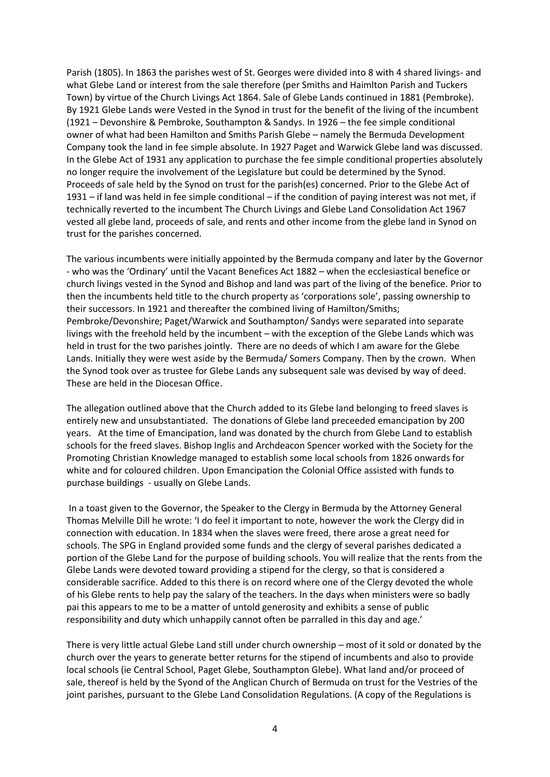Parish (1805). In 1863 the parishes west of St. Georges were divided into 8 with 4 shared livings- and what Glebe Land or interest from the sale therefore (per Smiths and Haimlton Parish and Tuckers Town) by virtue of the Church Livings Act 1864. Sale of Glebe Lands continued in 1881 (Pembroke). By 1921 Glebe Lands were Vested in the Synod in trust for the benefit of the living of the incumbent (1921 – Devonshire & Pembroke, Southampton & Sandys. In 1926 – the fee simple conditional owner of what had been Hamilton and Smiths Parish Glebe – namely the Bermuda Development Company took the land in fee simple absolute. In 1927 Paget and Warwick Glebe land was discussed. In the Glebe Act of 1931 any application to purchase the fee simple conditional properties absolutely no longer require the involvement of the Legislature but could be determined by the Synod. Proceeds of sale held by the Synod on trust for the parish(es) concerned. Prior to the Glebe Act of 1931 – if land was held in fee simple conditional – if the condition of paying interest was not met, if technically reverted to the incumbent The Church Livings and Glebe Land Consolidation Act 1967 vested all glebe land, proceeds of sale, and rents and other income from the glebe land in Synod on trust for the parishes concerned.

The various incumbents were initially appointed by the Bermuda company and later by the Governor - who was the 'Ordinary' until the Vacant Benefices Act 1882 – when the ecclesiastical benefice or church livings vested in the Synod and Bishop and land was part of the living of the benefice. Prior to then the incumbents held title to the church property as 'corporations sole', passing ownership to their successors. In 1921 and thereafter the combined living of Hamilton/Smiths; Pembroke/Devonshire; Paget/Warwick and Southampton/ Sandys were separated into separate livings with the freehold held by the incumbent – with the exception of the Glebe Lands which was held in trust for the two parishes jointly. There are no deeds of which I am aware for the Glebe Lands. Initially they were west aside by the Bermuda/ Somers Company. Then by the crown. When the Synod took over as trustee for Glebe Lands any subsequent sale was devised by way of deed. These are held in the Diocesan Office.

The allegation outlined above that the Church added to its Glebe land belonging to freed slaves is entirely new and unsubstantiated. The donations of Glebe land preceeded emancipation by 200 years. At the time of Emancipation, land was donated by the church from Glebe Land to establish schools for the freed slaves. Bishop Inglis and Archdeacon Spencer worked with the Society for the Promoting Christian Knowledge managed to establish some local schools from 1826 onwards for white and for coloured children. Upon Emancipation the Colonial Office assisted with funds to purchase buildings - usually on Glebe Lands.

In a toast given to the Governor, the Speaker to the Clergy in Bermuda by the Attorney General Thomas Melville Dill he wrote: 'I do feel it important to note, however the work the Clergy did in connection with education. In 1834 when the slaves were freed, there arose a great need for schools. The SPG in England provided some funds and the clergy of several parishes dedicated a portion of the Glebe Land for the purpose of building schools. You will realize that the rents from the Glebe Lands were devoted toward providing a stipend for the clergy, so that is considered a considerable sacrifice. Added to this there is on record where one of the Clergy devoted the whole of his Glebe rents to help pay the salary of the teachers. In the days when ministers were so badly pai this appears to me to be a matter of untold generosity and exhibits a sense of public responsibility and duty which unhappily cannot often be parralled in this day and age.'

There is very little actual Glebe Land still under church ownership – most of it sold or donated by the church over the years to generate better returns for the stipend of incumbents and also to provide local schools (ie Central School, Paget Glebe, Southampton Glebe). What land and/or proceed of sale, thereof is held by the Syond of the Anglican Church of Bermuda on trust for the Vestries of the joint parishes, pursuant to the Glebe Land Consolidation Regulations. (A copy of the Regulations is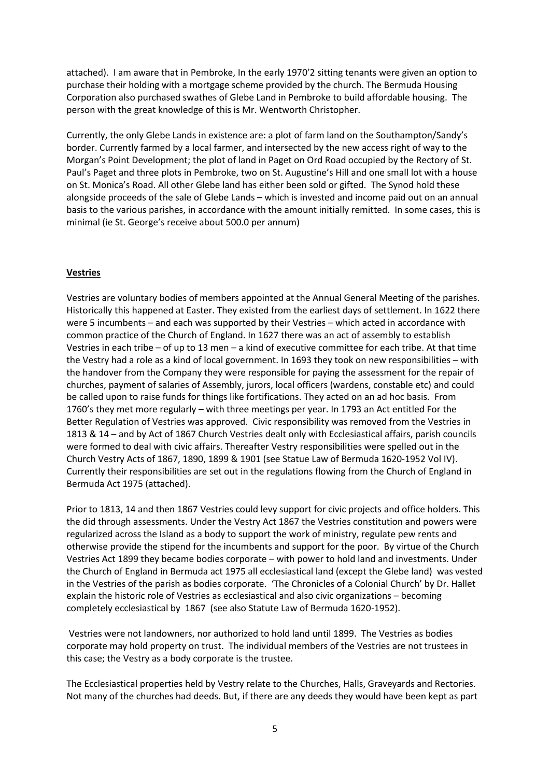attached). I am aware that in Pembroke, In the early 1970'2 sitting tenants were given an option to purchase their holding with a mortgage scheme provided by the church. The Bermuda Housing Corporation also purchased swathes of Glebe Land in Pembroke to build affordable housing. The person with the great knowledge of this is Mr. Wentworth Christopher.

Currently, the only Glebe Lands in existence are: a plot of farm land on the Southampton/Sandy's border. Currently farmed by a local farmer, and intersected by the new access right of way to the Morgan's Point Development; the plot of land in Paget on Ord Road occupied by the Rectory of St. Paul's Paget and three plots in Pembroke, two on St. Augustine's Hill and one small lot with a house on St. Monica's Road. All other Glebe land has either been sold or gifted. The Synod hold these alongside proceeds of the sale of Glebe Lands – which is invested and income paid out on an annual basis to the various parishes, in accordance with the amount initially remitted. In some cases, this is minimal (ie St. George's receive about 500.0 per annum)

# **Vestries**

Vestries are voluntary bodies of members appointed at the Annual General Meeting of the parishes. Historically this happened at Easter. They existed from the earliest days of settlement. In 1622 there were 5 incumbents – and each was supported by their Vestries – which acted in accordance with common practice of the Church of England. In 1627 there was an act of assembly to establish Vestries in each tribe – of up to 13 men – a kind of executive committee for each tribe. At that time the Vestry had a role as a kind of local government. In 1693 they took on new responsibilities – with the handover from the Company they were responsible for paying the assessment for the repair of churches, payment of salaries of Assembly, jurors, local officers (wardens, constable etc) and could be called upon to raise funds for things like fortifications. They acted on an ad hoc basis. From 1760's they met more regularly – with three meetings per year. In 1793 an Act entitled For the Better Regulation of Vestries was approved. Civic responsibility was removed from the Vestries in 1813 & 14 – and by Act of 1867 Church Vestries dealt only with Ecclesiastical affairs, parish councils were formed to deal with civic affairs. Thereafter Vestry responsibilities were spelled out in the Church Vestry Acts of 1867, 1890, 1899 & 1901 (see Statue Law of Bermuda 1620-1952 Vol IV). Currently their responsibilities are set out in the regulations flowing from the Church of England in Bermuda Act 1975 (attached).

Prior to 1813, 14 and then 1867 Vestries could levy support for civic projects and office holders. This the did through assessments. Under the Vestry Act 1867 the Vestries constitution and powers were regularized across the Island as a body to support the work of ministry, regulate pew rents and otherwise provide the stipend for the incumbents and support for the poor. By virtue of the Church Vestries Act 1899 they became bodies corporate – with power to hold land and investments. Under the Church of England in Bermuda act 1975 all ecclesiastical land (except the Glebe land) was vested in the Vestries of the parish as bodies corporate. 'The Chronicles of a Colonial Church' by Dr. Hallet explain the historic role of Vestries as ecclesiastical and also civic organizations – becoming completely ecclesiastical by 1867 (see also Statute Law of Bermuda 1620-1952).

Vestries were not landowners, nor authorized to hold land until 1899. The Vestries as bodies corporate may hold property on trust. The individual members of the Vestries are not trustees in this case; the Vestry as a body corporate is the trustee.

The Ecclesiastical properties held by Vestry relate to the Churches, Halls, Graveyards and Rectories. Not many of the churches had deeds. But, if there are any deeds they would have been kept as part